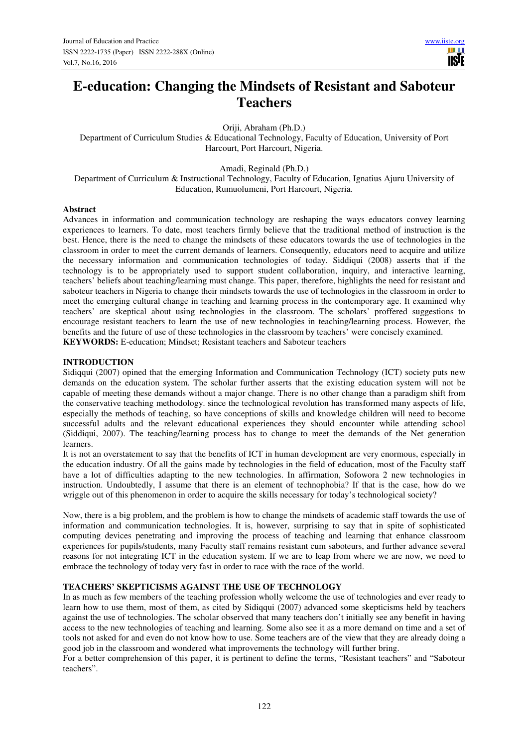# **E-education: Changing the Mindsets of Resistant and Saboteur Teachers**

Oriji, Abraham (Ph.D.)

Department of Curriculum Studies & Educational Technology, Faculty of Education, University of Port Harcourt, Port Harcourt, Nigeria.

Amadi, Reginald (Ph.D.)

Department of Curriculum & Instructional Technology, Faculty of Education, Ignatius Ajuru University of Education, Rumuolumeni, Port Harcourt, Nigeria.

## **Abstract**

Advances in information and communication technology are reshaping the ways educators convey learning experiences to learners. To date, most teachers firmly believe that the traditional method of instruction is the best. Hence, there is the need to change the mindsets of these educators towards the use of technologies in the classroom in order to meet the current demands of learners. Consequently, educators need to acquire and utilize the necessary information and communication technologies of today. Siddiqui (2008) asserts that if the technology is to be appropriately used to support student collaboration, inquiry, and interactive learning, teachers' beliefs about teaching/learning must change. This paper, therefore, highlights the need for resistant and saboteur teachers in Nigeria to change their mindsets towards the use of technologies in the classroom in order to meet the emerging cultural change in teaching and learning process in the contemporary age. It examined why teachers' are skeptical about using technologies in the classroom. The scholars' proffered suggestions to encourage resistant teachers to learn the use of new technologies in teaching/learning process. However, the benefits and the future of use of these technologies in the classroom by teachers' were concisely examined. **KEYWORDS:** E-education; Mindset; Resistant teachers and Saboteur teachers

## **INTRODUCTION**

Sidiqqui (2007) opined that the emerging Information and Communication Technology (ICT) society puts new demands on the education system. The scholar further asserts that the existing education system will not be capable of meeting these demands without a major change. There is no other change than a paradigm shift from the conservative teaching methodology. since the technological revolution has transformed many aspects of life, especially the methods of teaching, so have conceptions of skills and knowledge children will need to become successful adults and the relevant educational experiences they should encounter while attending school (Siddiqui, 2007). The teaching/learning process has to change to meet the demands of the Net generation learners.

It is not an overstatement to say that the benefits of ICT in human development are very enormous, especially in the education industry. Of all the gains made by technologies in the field of education, most of the Faculty staff have a lot of difficulties adapting to the new technologies. In affirmation, Sofowora 2 new technologies in instruction. Undoubtedly, I assume that there is an element of technophobia? If that is the case, how do we wriggle out of this phenomenon in order to acquire the skills necessary for today's technological society?

Now, there is a big problem, and the problem is how to change the mindsets of academic staff towards the use of information and communication technologies. It is, however, surprising to say that in spite of sophisticated computing devices penetrating and improving the process of teaching and learning that enhance classroom experiences for pupils/students, many Faculty staff remains resistant cum saboteurs, and further advance several reasons for not integrating ICT in the education system. If we are to leap from where we are now, we need to embrace the technology of today very fast in order to race with the race of the world.

# **TEACHERS' SKEPTICISMS AGAINST THE USE OF TECHNOLOGY**

In as much as few members of the teaching profession wholly welcome the use of technologies and ever ready to learn how to use them, most of them, as cited by Sidiqqui (2007) advanced some skepticisms held by teachers against the use of technologies. The scholar observed that many teachers don't initially see any benefit in having access to the new technologies of teaching and learning. Some also see it as a more demand on time and a set of tools not asked for and even do not know how to use. Some teachers are of the view that they are already doing a good job in the classroom and wondered what improvements the technology will further bring.

For a better comprehension of this paper, it is pertinent to define the terms, "Resistant teachers" and "Saboteur teachers".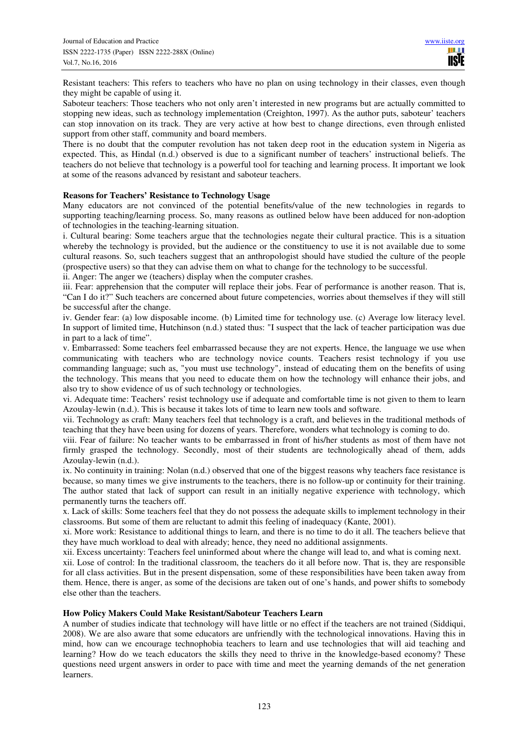Resistant teachers: This refers to teachers who have no plan on using technology in their classes, even though they might be capable of using it.

Saboteur teachers: Those teachers who not only aren't interested in new programs but are actually committed to stopping new ideas, such as technology implementation (Creighton, 1997). As the author puts, saboteur' teachers can stop innovation on its track. They are very active at how best to change directions, even through enlisted support from other staff, community and board members.

There is no doubt that the computer revolution has not taken deep root in the education system in Nigeria as expected. This, as Hindal (n.d.) observed is due to a significant number of teachers' instructional beliefs. The teachers do not believe that technology is a powerful tool for teaching and learning process. It important we look at some of the reasons advanced by resistant and saboteur teachers.

## **Reasons for Teachers' Resistance to Technology Usage**

Many educators are not convinced of the potential benefits/value of the new technologies in regards to supporting teaching/learning process. So, many reasons as outlined below have been adduced for non-adoption of technologies in the teaching-learning situation.

i. Cultural bearing: Some teachers argue that the technologies negate their cultural practice. This is a situation whereby the technology is provided, but the audience or the constituency to use it is not available due to some cultural reasons. So, such teachers suggest that an anthropologist should have studied the culture of the people (prospective users) so that they can advise them on what to change for the technology to be successful.

ii. Anger: The anger we (teachers) display when the computer crashes.

iii. Fear: apprehension that the computer will replace their jobs. Fear of performance is another reason. That is, "Can I do it?" Such teachers are concerned about future competencies, worries about themselves if they will still be successful after the change.

iv. Gender fear: (a) low disposable income. (b) Limited time for technology use. (c) Average low literacy level. In support of limited time, Hutchinson (n.d.) stated thus: "I suspect that the lack of teacher participation was due in part to a lack of time".

v. Embarrassed: Some teachers feel embarrassed because they are not experts. Hence, the language we use when communicating with teachers who are technology novice counts. Teachers resist technology if you use commanding language; such as, "you must use technology", instead of educating them on the benefits of using the technology. This means that you need to educate them on how the technology will enhance their jobs, and also try to show evidence of us of such technology or technologies.

vi. Adequate time: Teachers' resist technology use if adequate and comfortable time is not given to them to learn Azoulay-lewin (n.d.). This is because it takes lots of time to learn new tools and software.

vii. Technology as craft: Many teachers feel that technology is a craft, and believes in the traditional methods of teaching that they have been using for dozens of years. Therefore, wonders what technology is coming to do.

viii. Fear of failure: No teacher wants to be embarrassed in front of his/her students as most of them have not firmly grasped the technology. Secondly, most of their students are technologically ahead of them, adds Azoulay-lewin (n.d.).

ix. No continuity in training: Nolan (n.d.) observed that one of the biggest reasons why teachers face resistance is because, so many times we give instruments to the teachers, there is no follow-up or continuity for their training. The author stated that lack of support can result in an initially negative experience with technology, which permanently turns the teachers off.

x. Lack of skills: Some teachers feel that they do not possess the adequate skills to implement technology in their classrooms. But some of them are reluctant to admit this feeling of inadequacy (Kante, 2001).

xi. More work: Resistance to additional things to learn, and there is no time to do it all. The teachers believe that they have much workload to deal with already; hence, they need no additional assignments.

xii. Excess uncertainty: Teachers feel uninformed about where the change will lead to, and what is coming next.

xii. Lose of control: In the traditional classroom, the teachers do it all before now. That is, they are responsible for all class activities. But in the present dispensation, some of these responsibilities have been taken away from them. Hence, there is anger, as some of the decisions are taken out of one's hands, and power shifts to somebody else other than the teachers.

#### **How Policy Makers Could Make Resistant/Saboteur Teachers Learn**

A number of studies indicate that technology will have little or no effect if the teachers are not trained (Siddiqui, 2008). We are also aware that some educators are unfriendly with the technological innovations. Having this in mind, how can we encourage technophobia teachers to learn and use technologies that will aid teaching and learning? How do we teach educators the skills they need to thrive in the knowledge-based economy? These questions need urgent answers in order to pace with time and meet the yearning demands of the net generation learners.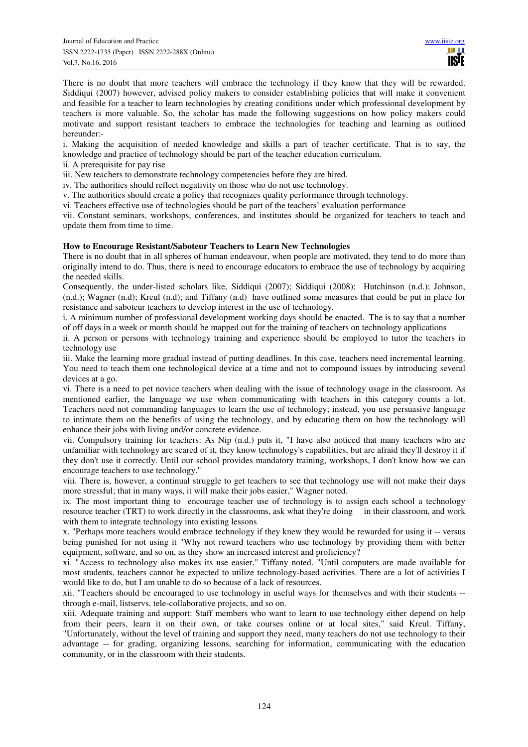There is no doubt that more teachers will embrace the technology if they know that they will be rewarded. Siddiqui (2007) however, advised policy makers to consider establishing policies that will make it convenient and feasible for a teacher to learn technologies by creating conditions under which professional development by teachers is more valuable. So, the scholar has made the following suggestions on how policy makers could motivate and support resistant teachers to embrace the technologies for teaching and learning as outlined hereunder:-

i. Making the acquisition of needed knowledge and skills a part of teacher certificate. That is to say, the knowledge and practice of technology should be part of the teacher education curriculum.

ii. A prerequisite for pay rise

iii. New teachers to demonstrate technology competencies before they are hired.

iv. The authorities should reflect negativity on those who do not use technology.

v. The authorities should create a policy that recognizes quality performance through technology.

vi. Teachers effective use of technologies should be part of the teachers' evaluation performance

vii. Constant seminars, workshops, conferences, and institutes should be organized for teachers to teach and update them from time to time.

## **How to Encourage Resistant/Saboteur Teachers to Learn New Technologies**

There is no doubt that in all spheres of human endeavour, when people are motivated, they tend to do more than originally intend to do. Thus, there is need to encourage educators to embrace the use of technology by acquiring the needed skills.

Consequently, the under-listed scholars like, Siddiqui (2007); Siddiqui (2008); Hutchinson (n.d.); Johnson, (n.d.); Wagner (n.d); Kreul (n.d); and Tiffany (n.d) have outlined some measures that could be put in place for resistance and saboteur teachers to develop interest in the use of technology.

i. A minimum number of professional development working days should be enacted. The is to say that a number of off days in a week or month should be mapped out for the training of teachers on technology applications

ii. A person or persons with technology training and experience should be employed to tutor the teachers in technology use

iii. Make the learning more gradual instead of putting deadlines. In this case, teachers need incremental learning. You need to teach them one technological device at a time and not to compound issues by introducing several devices at a go.

vi. There is a need to pet novice teachers when dealing with the issue of technology usage in the classroom. As mentioned earlier, the language we use when communicating with teachers in this category counts a lot. Teachers need not commanding languages to learn the use of technology; instead, you use persuasive language to intimate them on the benefits of using the technology, and by educating them on how the technology will enhance their jobs with living and/or concrete evidence.

vii. Compulsory training for teachers: As Nip (n.d.) puts it, "I have also noticed that many teachers who are unfamiliar with technology are scared of it, they know technology's capabilities, but are afraid they'll destroy it if they don't use it correctly. Until our school provides mandatory training, workshops, I don't know how we can encourage teachers to use technology."

viii. There is, however, a continual struggle to get teachers to see that technology use will not make their days more stressful; that in many ways, it will make their jobs easier," Wagner noted.

ix. The most important thing to encourage teacher use of technology is to assign each school a technology resource teacher (TRT) to work directly in the classrooms, ask what they're doing in their classroom, and work with them to integrate technology into existing lessons

x. "Perhaps more teachers would embrace technology if they knew they would be rewarded for using it -- versus being punished for not using it "Why not reward teachers who use technology by providing them with better equipment, software, and so on, as they show an increased interest and proficiency?

xi. "Access to technology also makes its use easier," Tiffany noted. "Until computers are made available for most students, teachers cannot be expected to utilize technology-based activities. There are a lot of activities I would like to do, but I am unable to do so because of a lack of resources.

xii. "Teachers should be encouraged to use technology in useful ways for themselves and with their students - through e-mail, listservs, tele-collaborative projects, and so on.

xiii. Adequate training and support: Staff members who want to learn to use technology either depend on help from their peers, learn it on their own, or take courses online or at local sites," said Kreul. Tiffany, "Unfortunately, without the level of training and support they need, many teachers do not use technology to their advantage -- for grading, organizing lessons, searching for information, communicating with the education community, or in the classroom with their students.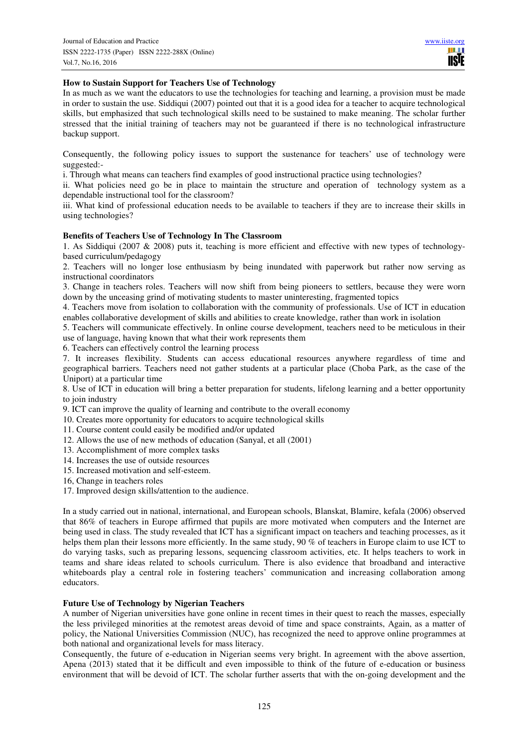# **How to Sustain Support for Teachers Use of Technology**

In as much as we want the educators to use the technologies for teaching and learning, a provision must be made in order to sustain the use. Siddiqui (2007) pointed out that it is a good idea for a teacher to acquire technological skills, but emphasized that such technological skills need to be sustained to make meaning. The scholar further stressed that the initial training of teachers may not be guaranteed if there is no technological infrastructure backup support.

Consequently, the following policy issues to support the sustenance for teachers' use of technology were suggested:-

i. Through what means can teachers find examples of good instructional practice using technologies?

ii. What policies need go be in place to maintain the structure and operation of technology system as a dependable instructional tool for the classroom?

iii. What kind of professional education needs to be available to teachers if they are to increase their skills in using technologies?

## **Benefits of Teachers Use of Technology In The Classroom**

1. As Siddiqui (2007 & 2008) puts it, teaching is more efficient and effective with new types of technologybased curriculum/pedagogy

2. Teachers will no longer lose enthusiasm by being inundated with paperwork but rather now serving as instructional coordinators

3. Change in teachers roles. Teachers will now shift from being pioneers to settlers, because they were worn down by the unceasing grind of motivating students to master uninteresting, fragmented topics

4. Teachers move from isolation to collaboration with the community of professionals. Use of ICT in education enables collaborative development of skills and abilities to create knowledge, rather than work in isolation

5. Teachers will communicate effectively. In online course development, teachers need to be meticulous in their use of language, having known that what their work represents them

6. Teachers can effectively control the learning process

7. It increases flexibility. Students can access educational resources anywhere regardless of time and geographical barriers. Teachers need not gather students at a particular place (Choba Park, as the case of the Uniport) at a particular time

8. Use of ICT in education will bring a better preparation for students, lifelong learning and a better opportunity to join industry

9. ICT can improve the quality of learning and contribute to the overall economy

10. Creates more opportunity for educators to acquire technological skills

- 11. Course content could easily be modified and/or updated
- 12. Allows the use of new methods of education (Sanyal, et all (2001)
- 13. Accomplishment of more complex tasks
- 14. Increases the use of outside resources
- 15. Increased motivation and self-esteem.
- 16, Change in teachers roles
- 17. Improved design skills/attention to the audience.

In a study carried out in national, international, and European schools, Blanskat, Blamire, kefala (2006) observed that 86% of teachers in Europe affirmed that pupils are more motivated when computers and the Internet are being used in class. The study revealed that ICT has a significant impact on teachers and teaching processes, as it helps them plan their lessons more efficiently. In the same study, 90 % of teachers in Europe claim to use ICT to do varying tasks, such as preparing lessons, sequencing classroom activities, etc. It helps teachers to work in teams and share ideas related to schools curriculum. There is also evidence that broadband and interactive whiteboards play a central role in fostering teachers' communication and increasing collaboration among educators.

#### **Future Use of Technology by Nigerian Teachers**

A number of Nigerian universities have gone online in recent times in their quest to reach the masses, especially the less privileged minorities at the remotest areas devoid of time and space constraints, Again, as a matter of policy, the National Universities Commission (NUC), has recognized the need to approve online programmes at both national and organizational levels for mass literacy.

Consequently, the future of e-education in Nigerian seems very bright. In agreement with the above assertion, Apena (2013) stated that it be difficult and even impossible to think of the future of e-education or business environment that will be devoid of ICT. The scholar further asserts that with the on-going development and the